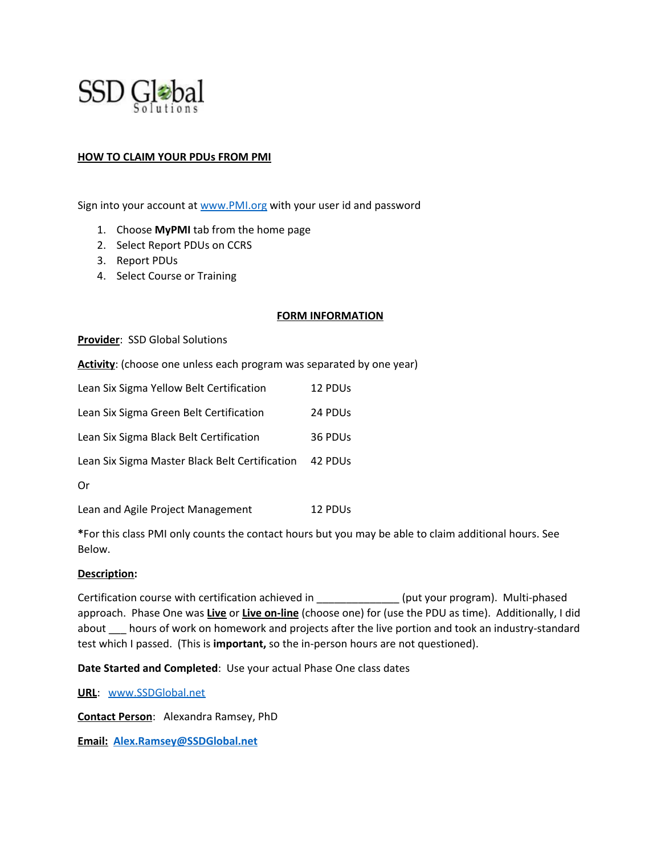

## **HOW TO CLAIM YOUR PDUs FROM PMI**

Sign into your account at [www.PMI.org](http://www.pmi.org/) with your user id and password

- 1. Choose **MyPMI** tab from the home page
- 2. Select Report PDUs on CCRS
- 3. Report PDUs
- 4. Select Course or Training

### **FORM INFORMATION**

**Provider**: SSD Global Solutions

Activity: (choose one unless each program was separated by one year)

| Lean Six Sigma Yellow Belt Certification       | 12 PDU <sub>s</sub> |
|------------------------------------------------|---------------------|
| Lean Six Sigma Green Belt Certification        | 24 PDU <sub>s</sub> |
| Lean Six Sigma Black Belt Certification        | 36 PDU <sub>s</sub> |
| Lean Six Sigma Master Black Belt Certification | 42 PDU <sub>S</sub> |
| Or                                             |                     |

Lean and Agile Project Management 12 PDUs

**\***For this class PMI only counts the contact hours but you may be able to claim additional hours. See Below.

#### **Description:**

Certification course with certification achieved in \_\_\_\_\_\_\_\_\_\_\_\_\_\_ (put your program). Multi-phased approach. Phase One was **Live** or **Live on-line** (choose one) for (use the PDU as time). Additionally, I did about *\_\_\_* hours of work on homework and projects after the live portion and took an industry-standard test which I passed. (This is **important,** so the in-person hours are not questioned).

**Date Started and Completed**: Use your actual Phase One class dates

**URL**: [www.SSDGlobal.net](http://www.ssdglobal.net/)

**Contact Person**: Alexandra Ramsey, PhD

**Email: [Alex.Ramsey@SSDGlobal.net](mailto:Alex.Ramsey@SSDGlobal.net)**